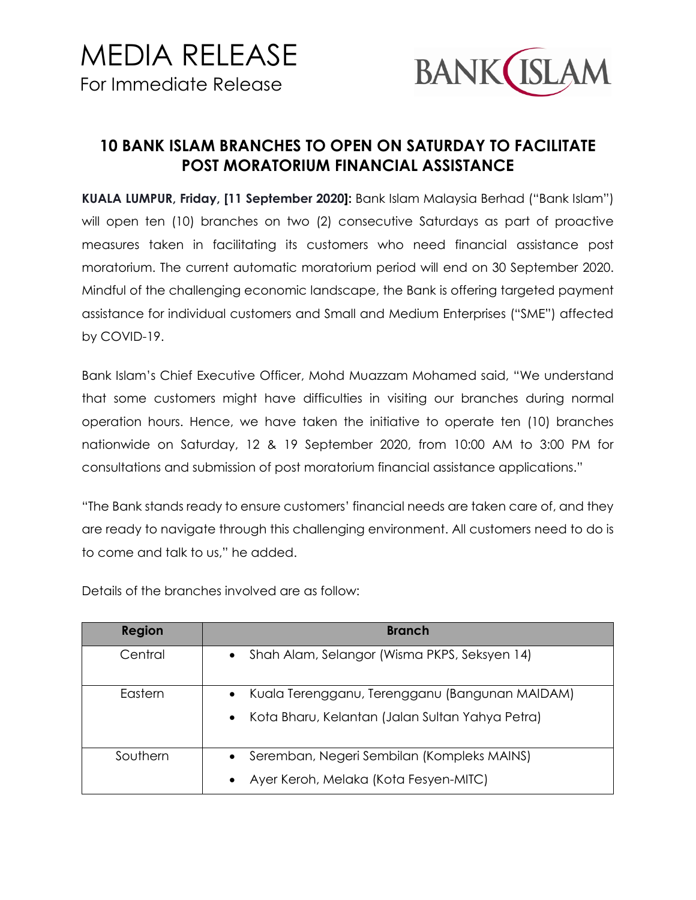

## **10 BANK ISLAM BRANCHES TO OPEN ON SATURDAY TO FACILITATE POST MORATORIUM FINANCIAL ASSISTANCE**

**KUALA LUMPUR, Friday, [11 September 2020]:** Bank Islam Malaysia Berhad ("Bank Islam") will open ten (10) branches on two (2) consecutive Saturdays as part of proactive measures taken in facilitating its customers who need financial assistance post moratorium. The current automatic moratorium period will end on 30 September 2020. Mindful of the challenging economic landscape, the Bank is offering targeted payment assistance for individual customers and Small and Medium Enterprises ("SME") affected by COVID-19.

Bank Islam's Chief Executive Officer, Mohd Muazzam Mohamed said, "We understand that some customers might have difficulties in visiting our branches during normal operation hours. Hence, we have taken the initiative to operate ten (10) branches nationwide on Saturday, 12 & 19 September 2020, from 10:00 AM to 3:00 PM for consultations and submission of post moratorium financial assistance applications."

"The Bank stands ready to ensure customers' financial needs are taken care of, and they are ready to navigate through this challenging environment. All customers need to do is to come and talk to us," he added.

| <b>Region</b> | <b>Branch</b>                                                                                                               |
|---------------|-----------------------------------------------------------------------------------------------------------------------------|
| Central       | Shah Alam, Selangor (Wisma PKPS, Seksyen 14)<br>$\bullet$                                                                   |
| Eastern       | Kuala Terengganu, Terengganu (Bangunan MAIDAM)<br>$\bullet$<br>Kota Bharu, Kelantan (Jalan Sultan Yahya Petra)<br>$\bullet$ |
| Southern      | Seremban, Negeri Sembilan (Kompleks MAINS)<br>Ayer Keroh, Melaka (Kota Fesyen-MITC)<br>$\bullet$                            |

Details of the branches involved are as follow: